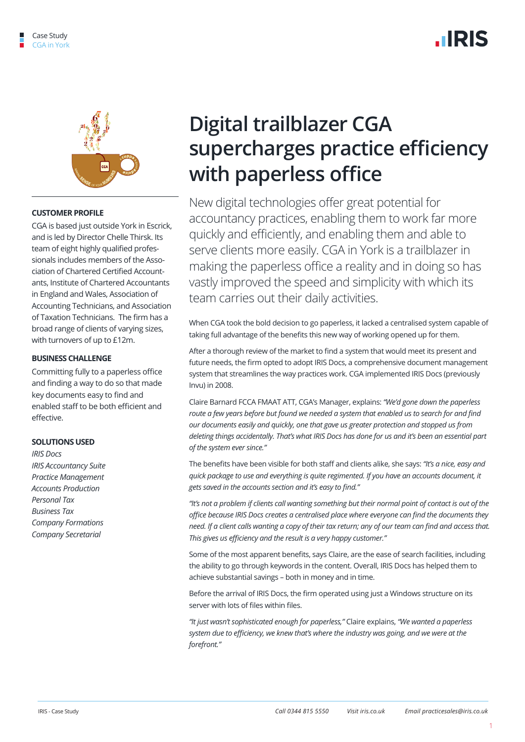

#### **CUSTOMER PROFILE**

CGA is based just outside York in Escrick, and is led by Director Chelle Thirsk. Its team of eight highly qualified professionals includes members of the Association of Chartered Certified Accountants, Institute of Chartered Accountants in England and Wales, Association of Accounting Technicians, and Association of Taxation Technicians. The firm has a broad range of clients of varying sizes, with turnovers of up to £12m.

#### **BUSINESS CHALLENGE**

Committing fully to a paperless office and finding a way to do so that made key documents easy to find and enabled staff to be both efficient and effective.

#### **SOLUTIONS USED**

*IRIS Docs IRIS Accountancy Suite Practice Management Accounts Production Personal Tax Business Tax Company Formations Company Secretarial* 

# **Digital trailblazer CGA supercharges practice efficiency with paperless office**

New digital technologies offer great potential for accountancy practices, enabling them to work far more quickly and efficiently, and enabling them and able to serve clients more easily. CGA in York is a trailblazer in making the paperless office a reality and in doing so has vastly improved the speed and simplicity with which its team carries out their daily activities.

When CGA took the bold decision to go paperless, it lacked a centralised system capable of taking full advantage of the benefits this new way of working opened up for them.

After a thorough review of the market to find a system that would meet its present and future needs, the firm opted to adopt IRIS Docs, a comprehensive document management system that streamlines the way practices work. CGA implemented IRIS Docs (previously Invu) in 2008.

Claire Barnard FCCA FMAAT ATT, CGA's Manager, explains: *"We'd gone down the paperless route a few years before but found we needed a system that enabled us to search for and find our documents easily and quickly, one that gave us greater protection and stopped us from deleting things accidentally. That's what IRIS Docs has done for us and it's been an essential part of the system ever since."*

The benefits have been visible for both staff and clients alike, she says: *"It's a nice, easy and quick package to use and everything is quite regimented. If you have an accounts document, it gets saved in the accounts section and it's easy to find."* 

*"It's not a problem if clients call wanting something but their normal point of contact is out of the office because IRIS Docs creates a centralised place where everyone can find the documents they need. If a client calls wanting a copy of their tax return; any of our team can find and access that. This gives us efficiency and the result is a very happy customer."*

Some of the most apparent benefits, says Claire, are the ease of search facilities, including the ability to go through keywords in the content. Overall, IRIS Docs has helped them to achieve substantial savings – both in money and in time.

Before the arrival of IRIS Docs, the firm operated using just a Windows structure on its server with lots of files within files.

*"It just wasn't sophisticated enough for paperless,"* Claire explains, *"We wanted a paperless system due to efficiency, we knew that's where the industry was going, and we were at the forefront."*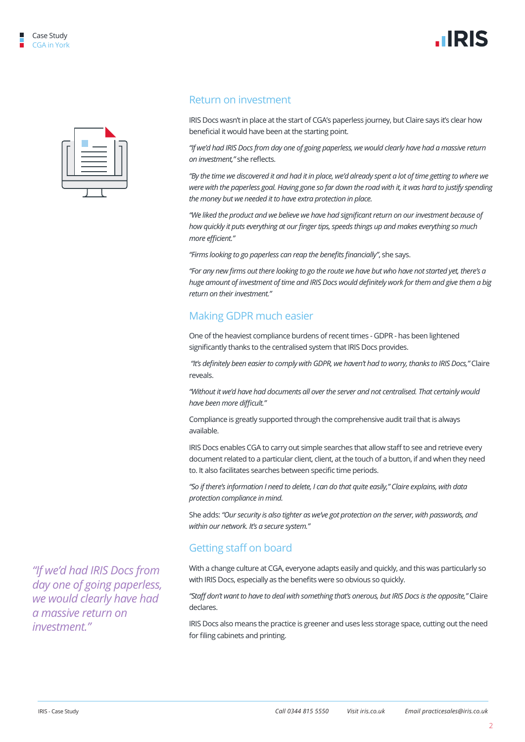



## Return on investment

IRIS Docs wasn't in place at the start of CGA's paperless journey, but Claire says it's clear how beneficial it would have been at the starting point.

*"If we'd had IRIS Docs from day one of going paperless, we would clearly have had a massive return on investment,"* she reflects.

*"By the time we discovered it and had it in place, we'd already spent a lot of time getting to where we were with the paperless goal. Having gone so far down the road with it, it was hard to justify spending the money but we needed it to have extra protection in place.* 

*"We liked the product and we believe we have had significant return on our investment because of how quickly it puts everything at our finger tips, speeds things up and makes everything so much more efficient."* 

*"Firms looking to go paperless can reap the benefits financially"*, she says.

*"For any new firms out there looking to go the route we have but who have not started yet, there's a huge amount of investment of time and IRIS Docs would definitely work for them and give them a big return on their investment."*

## Making GDPR much easier

One of the heaviest compliance burdens of recent times - GDPR - has been lightened significantly thanks to the centralised system that IRIS Docs provides.

 *"It's definitely been easier to comply with GDPR, we haven't had to worry, thanks to IRIS Docs,"* Claire reveals.

*"Without it we'd have had documents all over the server and not centralised. That certainly would have been more difficult."*

Compliance is greatly supported through the comprehensive audit trail that is always available.

IRIS Docs enables CGA to carry out simple searches that allow staff to see and retrieve every document related to a particular client, client, at the touch of a button, if and when they need to. It also facilitates searches between specific time periods.

*"So if there's information I need to delete, I can do that quite easily," Claire explains, with data protection compliance in mind.*

She adds: *"Our security is also tighter as we've got protection on the server, with passwords, and within our network. It's a secure system."*

## Getting staff on board

With a change culture at CGA, everyone adapts easily and quickly, and this was particularly so with IRIS Docs, especially as the benefits were so obvious so quickly.

*"Staff don't want to have to deal with something that's onerous, but IRIS Docs is the opposite,"* Claire declares.

IRIS Docs also means the practice is greener and uses less storage space, cutting out the need for filing cabinets and printing.

*"If we'd had IRIS Docs from day one of going paperless, we would clearly have had a massive return on investment."*